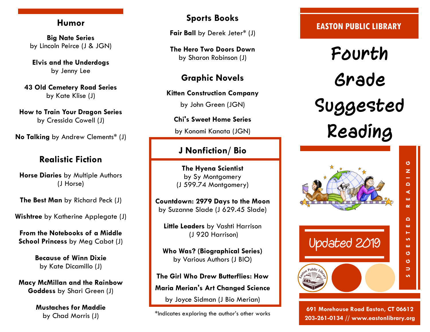## **Humor**

**Big Nate Series**  by Lincoln Peirce (J & JGN)

**Elvis and the Underdogs** by Jenny Lee

**43 Old Cemetery Road Series**  by Kate Klise (J)

**How to Train Your Dragon Series**  by Cressida Cowell (J)

**No Talking** by Andrew Clements\* (J)

# **Realistic Fiction**

**Horse Diaries** by Multiple Authors (J Horse)

**The Best Man** by Richard Peck (J)

**Wishtree** by Katherine Applegate (J)

**From the Notebooks of a Middle School Princess** by Meg Cabot (J)

> **Because of Winn Dixie**  by Kate Dicamillo (J)

**Macy McMillan and the Rainbow Goddess** by Shari Green (J)

> **Mustaches for Maddie**  by Chad Morris (J)

# **Sports Books**

**Fair Ball** by Derek Jeter\* (J)

**The Hero Two Doors Down**  by Sharon Robinson (J)

**Graphic Novels**

**Kitten Construction Company** 

by John Green (JGN)

**Chi's Sweet Home Series**

by Konomi Kanata (JGN)

# **J Nonfiction/ Bio**

**The Hyena Scientist**  by Sy Montgomery (J 599.74 Montgomery)

**Countdown: 2979 Days to the Moon**  by Suzanne Slade (J 629.45 Slade)

**Little Leaders** by Vashti Harrison (J 920 Harrison)

**Who Was? (Biographical Series)**  by Various Authors (J BIO)

**The Girl Who Drew Butterflies: How Maria Merian's Art Changed Science**  by Joyce Sidman (J Bio Merian)

\*Indicates exploring the author's other works

## **EASTON PUBLIC LIBRARY**

**Fourth Grade Suggested Reading**



**691 Morehouse Road Easton, CT 06612 203-261-0134 // www.eastonlibrary.org**